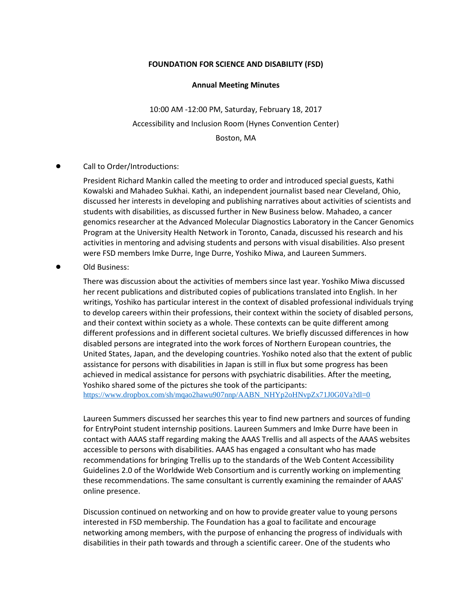## **FOUNDATION FOR SCIENCE AND DISABILITY (FSD)**

## **Annual Meeting Minutes**

10:00 AM -12:00 PM, Saturday, February 18, 2017 Accessibility and Inclusion Room (Hynes Convention Center) Boston, MA

## Call to Order/Introductions:

President Richard Mankin called the meeting to order and introduced special guests, Kathi Kowalski and Mahadeo Sukhai. Kathi, an independent journalist based near Cleveland, Ohio, discussed her interests in developing and publishing narratives about activities of scientists and students with disabilities, as discussed further in New Business below. Mahadeo, a cancer genomics researcher at the Advanced Molecular Diagnostics Laboratory in the Cancer Genomics Program at the University Health Network in Toronto, Canada, discussed his research and his activities in mentoring and advising students and persons with visual disabilities. Also present were FSD members Imke Durre, Inge Durre, Yoshiko Miwa, and Laureen Summers.

Old Business:

There was discussion about the activities of members since last year. Yoshiko Miwa discussed her recent publications and distributed copies of publications translated into English. In her writings, Yoshiko has particular interest in the context of disabled professional individuals trying to develop careers within their professions, their context within the society of disabled persons, and their context within society as a whole. These contexts can be quite different among different professions and in different societal cultures. We briefly discussed differences in how disabled persons are integrated into the work forces of Northern European countries, the United States, Japan, and the developing countries. Yoshiko noted also that the extent of public assistance for persons with disabilities in Japan is still in flux but some progress has been achieved in medical assistance for persons with psychiatric disabilities. After the meeting, Yoshiko shared some of the pictures she took of the participants:

[https://www.dropbox.com/sh/mqao2hawu907nnp/AABN\\_NHYp2oHNvpZx71J0G0Va?dl=0](https://www.dropbox.com/sh/mqao2hawu907nnp/AABN_NHYp2oHNvpZx71J0G0Va?dl=0)

Laureen Summers discussed her searches this year to find new partners and sources of funding for EntryPoint student internship positions. Laureen Summers and Imke Durre have been in contact with AAAS staff regarding making the AAAS Trellis and all aspects of the AAAS websites accessible to persons with disabilities. AAAS has engaged a consultant who has made recommendations for bringing Trellis up to the standards of the Web Content Accessibility Guidelines 2.0 of the Worldwide Web Consortium and is currently working on implementing these recommendations. The same consultant is currently examining the remainder of AAAS' online presence.

Discussion continued on networking and on how to provide greater value to young persons interested in FSD membership. The Foundation has a goal to facilitate and encourage networking among members, with the purpose of enhancing the progress of individuals with disabilities in their path towards and through a scientific career. One of the students who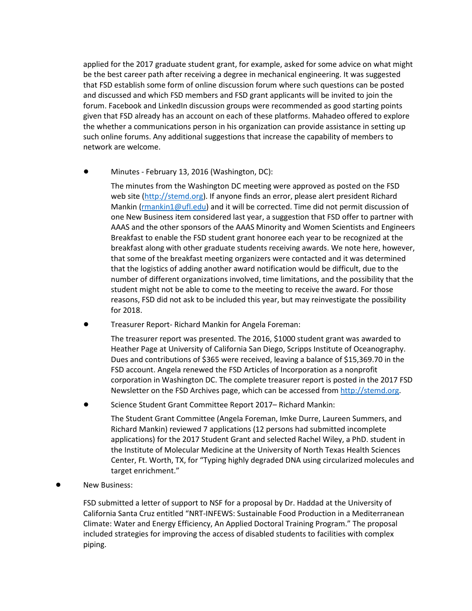applied for the 2017 graduate student grant, for example, asked for some advice on what might be the best career path after receiving a degree in mechanical engineering. It was suggested that FSD establish some form of online discussion forum where such questions can be posted and discussed and which FSD members and FSD grant applicants will be invited to join the forum. Facebook and LinkedIn discussion groups were recommended as good starting points given that FSD already has an account on each of these platforms. Mahadeo offered to explore the whether a communications person in his organization can provide assistance in setting up such online forums. Any additional suggestions that increase the capability of members to network are welcome.

 $\bullet$  Minutes - February 13, 2016 (Washington, DC):

The minutes from the Washington DC meeting were approved as posted on the FSD web site [\(http://stemd.org\)](http://stemd.org/). If anyone finds an error, please alert president Richard Mankin [\(rmankin1@ufl.edu\)](mailto:rmankin1@ufl.edu) and it will be corrected. Time did not permit discussion of one New Business item considered last year, a suggestion that FSD offer to partner with AAAS and the other sponsors of the AAAS Minority and Women Scientists and Engineers Breakfast to enable the FSD student grant honoree each year to be recognized at the breakfast along with other graduate students receiving awards. We note here, however, that some of the breakfast meeting organizers were contacted and it was determined that the logistics of adding another award notification would be difficult, due to the number of different organizations involved, time limitations, and the possibility that the student might not be able to come to the meeting to receive the award. For those reasons, FSD did not ask to be included this year, but may reinvestigate the possibility for 2018.

! Treasurer Report- Richard Mankin for Angela Foreman:

The treasurer report was presented. The 2016, \$1000 student grant was awarded to Heather Page at University of California San Diego, Scripps Institute of Oceanography. Dues and contributions of \$365 were received, leaving a balance of \$15,369.70 in the FSD account. Angela renewed the FSD Articles of Incorporation as a nonprofit corporation in Washington DC. The complete treasurer report is posted in the 2017 FSD Newsletter on the FSD Archives page, which can be accessed fro[m http://stemd.org.](http://stemd.org/)

! Science Student Grant Committee Report 2017– Richard Mankin:

The Student Grant Committee (Angela Foreman, Imke Durre, Laureen Summers, and Richard Mankin) reviewed 7 applications (12 persons had submitted incomplete applications) for the 2017 Student Grant and selected Rachel Wiley, a PhD. student in the Institute of Molecular Medicine at the University of North Texas Health Sciences Center, Ft. Worth, TX, for "Typing highly degraded DNA using circularized molecules and target enrichment."

**New Business:** 

FSD submitted a letter of support to NSF for a proposal by Dr. Haddad at the University of California Santa Cruz entitled "NRT-INFEWS: Sustainable Food Production in a Mediterranean Climate: Water and Energy Efficiency, An Applied Doctoral Training Program." The proposal included strategies for improving the access of disabled students to facilities with complex piping.